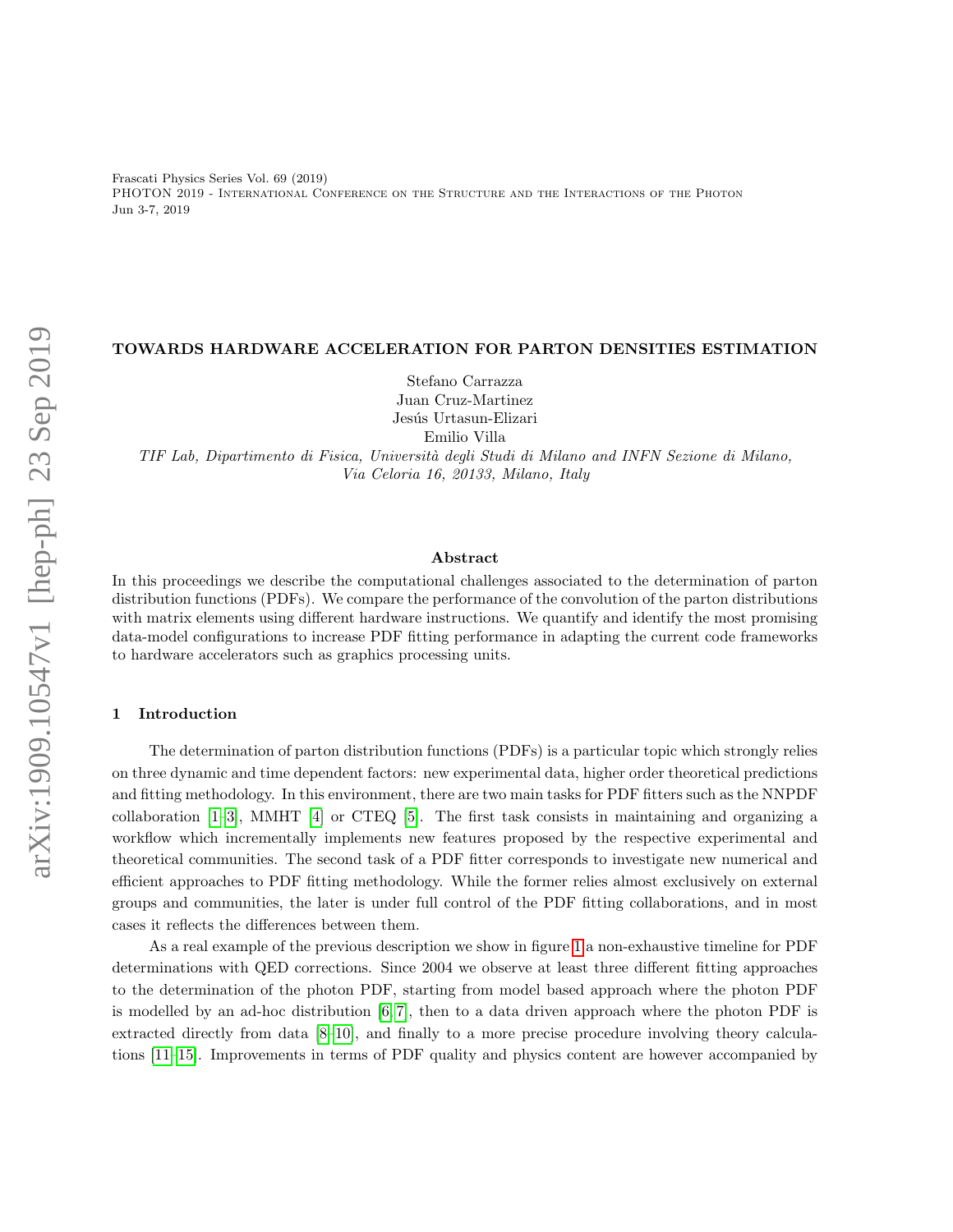Frascati Physics Series Vol. 69 (2019) PHOTON 2019 - International Conference on the Structure and the Interactions of the Photon Jun 3-7, 2019

# TOWARDS HARDWARE ACCELERATION FOR PARTON DENSITIES ESTIMATION

Stefano Carrazza Juan Cruz-Martinez Jesús Urtasun-Elizari Emilio Villa

TIF Lab, Dipartimento di Fisica, Universit`a degli Studi di Milano and INFN Sezione di Milano, Via Celoria 16, 20133, Milano, Italy

#### Abstract

In this proceedings we describe the computational challenges associated to the determination of parton distribution functions (PDFs). We compare the performance of the convolution of the parton distributions with matrix elements using different hardware instructions. We quantify and identify the most promising data-model configurations to increase PDF fitting performance in adapting the current code frameworks to hardware accelerators such as graphics processing units.

# 1 Introduction

The determination of parton distribution functions (PDFs) is a particular topic which strongly relies on three dynamic and time dependent factors: new experimental data, higher order theoretical predictions and fitting methodology. In this environment, there are two main tasks for PDF fitters such as the NNPDF collaboration [\[1–](#page-4-0)[3\]](#page-4-1), MMHT [\[4\]](#page-5-0) or CTEQ [\[5\]](#page-5-1). The first task consists in maintaining and organizing a workflow which incrementally implements new features proposed by the respective experimental and theoretical communities. The second task of a PDF fitter corresponds to investigate new numerical and efficient approaches to PDF fitting methodology. While the former relies almost exclusively on external groups and communities, the later is under full control of the PDF fitting collaborations, and in most cases it reflects the differences between them.

As a real example of the previous description we show in figure [1](#page-1-0) a non-exhaustive timeline for PDF determinations with QED corrections. Since 2004 we observe at least three different fitting approaches to the determination of the photon PDF, starting from model based approach where the photon PDF is modelled by an ad-hoc distribution  $[6, 7]$  $[6, 7]$ , then to a data driven approach where the photon PDF is extracted directly from data [\[8](#page-5-4)[–10\]](#page-5-5), and finally to a more precise procedure involving theory calculations [\[11](#page-5-6)[–15\]](#page-5-7). Improvements in terms of PDF quality and physics content are however accompanied by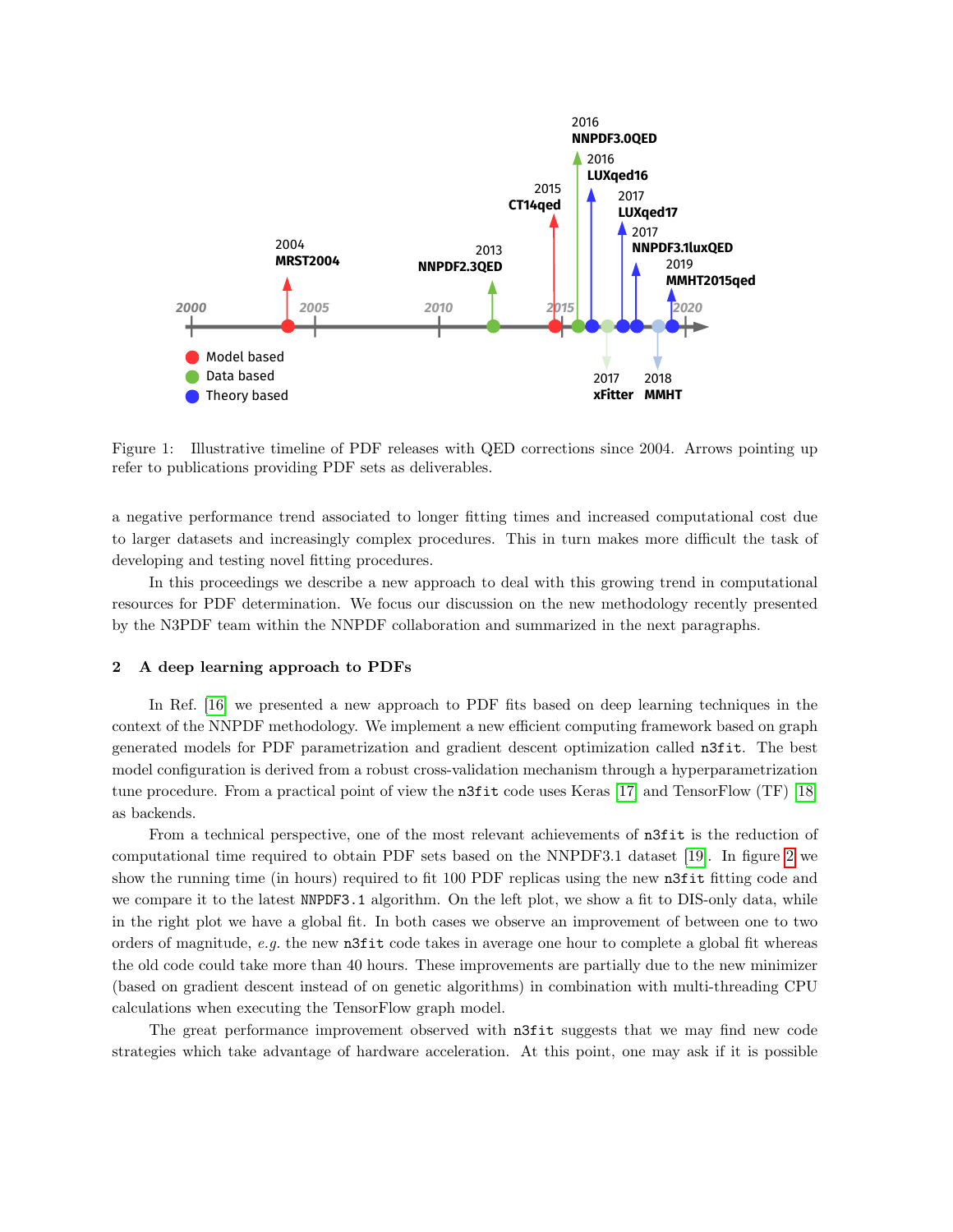

<span id="page-1-0"></span>Figure 1: Illustrative timeline of PDF releases with QED corrections since 2004. Arrows pointing up refer to publications providing PDF sets as deliverables.

a negative performance trend associated to longer fitting times and increased computational cost due to larger datasets and increasingly complex procedures. This in turn makes more difficult the task of developing and testing novel fitting procedures.

In this proceedings we describe a new approach to deal with this growing trend in computational resources for PDF determination. We focus our discussion on the new methodology recently presented by the N3PDF team within the NNPDF collaboration and summarized in the next paragraphs.

#### 2 A deep learning approach to PDFs

In Ref. [\[16\]](#page-5-8) we presented a new approach to PDF fits based on deep learning techniques in the context of the NNPDF methodology. We implement a new efficient computing framework based on graph generated models for PDF parametrization and gradient descent optimization called n3fit. The best model configuration is derived from a robust cross-validation mechanism through a hyperparametrization tune procedure. From a practical point of view the n3fit code uses Keras [\[17\]](#page-5-9) and TensorFlow (TF) [\[18\]](#page-5-10) as backends.

From a technical perspective, one of the most relevant achievements of n3fit is the reduction of computational time required to obtain PDF sets based on the NNPDF3.1 dataset [\[19\]](#page-5-11). In figure [2](#page-2-0) we show the running time (in hours) required to fit 100 PDF replicas using the new n3fit fitting code and we compare it to the latest NNPDF3.1 algorithm. On the left plot, we show a fit to DIS-only data, while in the right plot we have a global fit. In both cases we observe an improvement of between one to two orders of magnitude, e.g. the new n3fit code takes in average one hour to complete a global fit whereas the old code could take more than 40 hours. These improvements are partially due to the new minimizer (based on gradient descent instead of on genetic algorithms) in combination with multi-threading CPU calculations when executing the TensorFlow graph model.

The great performance improvement observed with **n**3fit suggests that we may find new code strategies which take advantage of hardware acceleration. At this point, one may ask if it is possible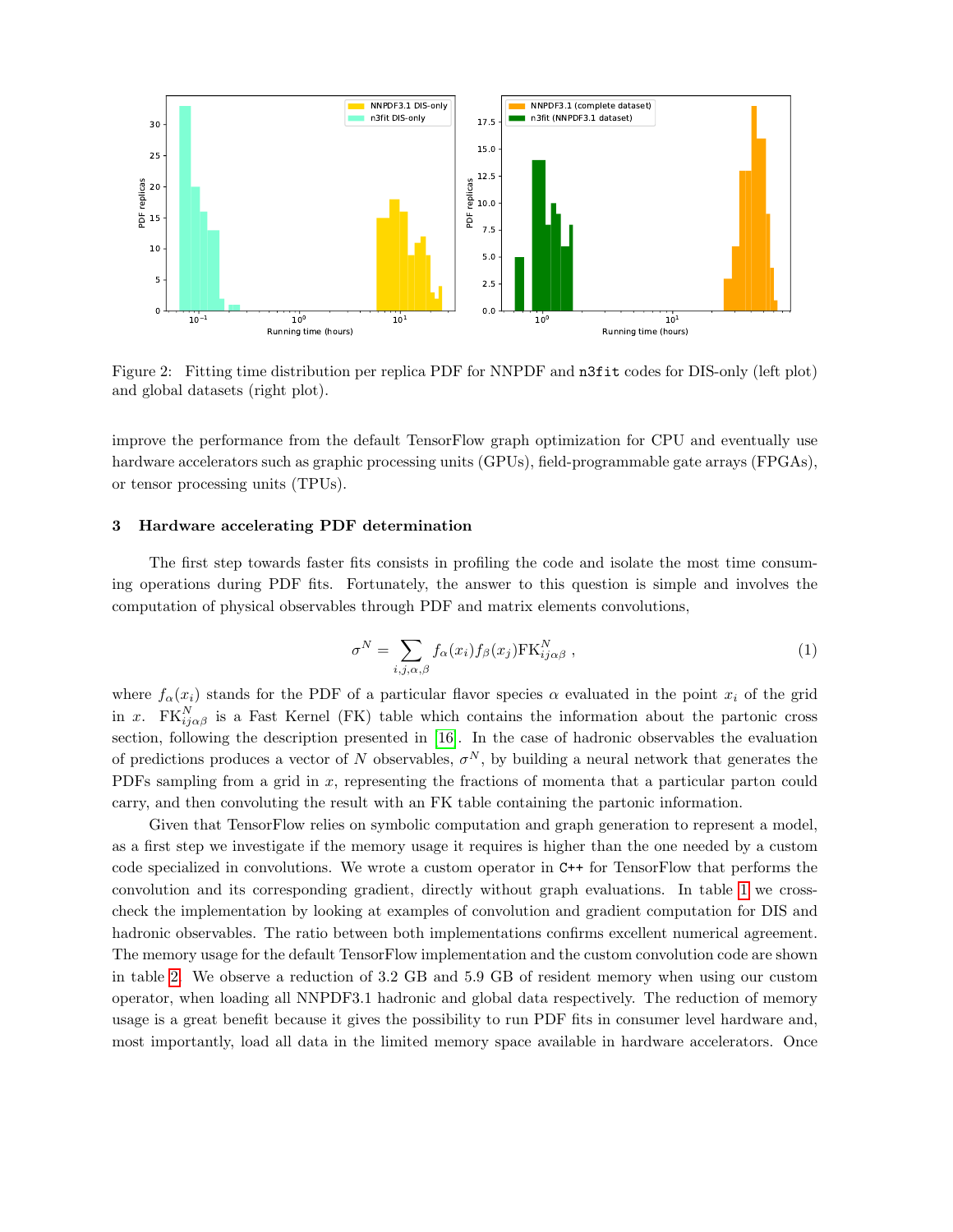

<span id="page-2-0"></span>Figure 2: Fitting time distribution per replica PDF for NNPDF and n3fit codes for DIS-only (left plot) and global datasets (right plot).

improve the performance from the default TensorFlow graph optimization for CPU and eventually use hardware accelerators such as graphic processing units (GPUs), field-programmable gate arrays (FPGAs), or tensor processing units (TPUs).

# 3 Hardware accelerating PDF determination

The first step towards faster fits consists in profiling the code and isolate the most time consuming operations during PDF fits. Fortunately, the answer to this question is simple and involves the computation of physical observables through PDF and matrix elements convolutions,

$$
\sigma^N = \sum_{i,j,\alpha,\beta} f_{\alpha}(x_i) f_{\beta}(x_j) \text{FK}_{ij\alpha\beta}^N , \qquad (1)
$$

where  $f_{\alpha}(x_i)$  stands for the PDF of a particular flavor species  $\alpha$  evaluated in the point  $x_i$  of the grid in x. FK $_{ij\alpha\beta}^{N}$  is a Fast Kernel (FK) table which contains the information about the partonic cross section, following the description presented in [\[16\]](#page-5-8). In the case of hadronic observables the evaluation of predictions produces a vector of N observables,  $\sigma^N$ , by building a neural network that generates the PDFs sampling from a grid in x, representing the fractions of momenta that a particular parton could carry, and then convoluting the result with an FK table containing the partonic information.

Given that TensorFlow relies on symbolic computation and graph generation to represent a model, as a first step we investigate if the memory usage it requires is higher than the one needed by a custom code specialized in convolutions. We wrote a custom operator in C++ for TensorFlow that performs the convolution and its corresponding gradient, directly without graph evaluations. In table [1](#page-3-0) we crosscheck the implementation by looking at examples of convolution and gradient computation for DIS and hadronic observables. The ratio between both implementations confirms excellent numerical agreement. The memory usage for the default TensorFlow implementation and the custom convolution code are shown in table [2.](#page-3-1) We observe a reduction of 3.2 GB and 5.9 GB of resident memory when using our custom operator, when loading all NNPDF3.1 hadronic and global data respectively. The reduction of memory usage is a great benefit because it gives the possibility to run PDF fits in consumer level hardware and, most importantly, load all data in the limited memory space available in hardware accelerators. Once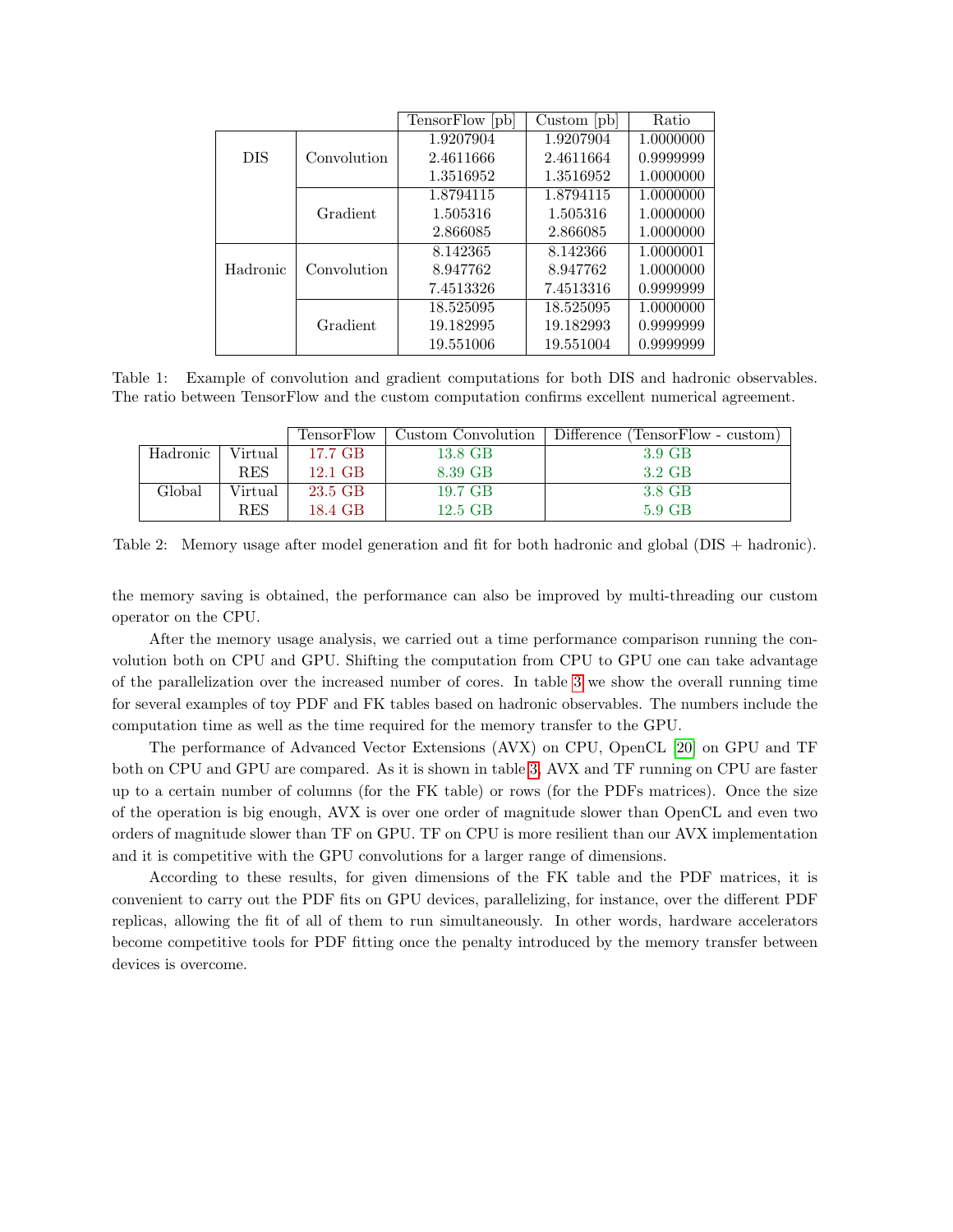|            |             | TensorFlow [pb] | Custom [pb] | Ratio     |
|------------|-------------|-----------------|-------------|-----------|
|            |             | 1.9207904       | 1.9207904   | 1.0000000 |
| <b>DIS</b> | Convolution | 2.4611666       | 2.4611664   | 0.9999999 |
|            |             | 1.3516952       | 1.3516952   | 1.0000000 |
|            |             | 1.8794115       | 1.8794115   | 1.0000000 |
|            | Gradient    | 1.505316        | 1.505316    | 1.0000000 |
|            |             | 2.866085        | 2.866085    | 1.0000000 |
|            |             | 8.142365        | 8.142366    | 1.0000001 |
| Hadronic   | Convolution | 8.947762        | 8.947762    | 1.0000000 |
|            |             | 7.4513326       | 7.4513316   | 0.9999999 |
|            |             | 18.525095       | 18.525095   | 1.0000000 |
|            | Gradient    | 19.182995       | 19.182993   | 0.9999999 |
|            |             | 19.551006       | 19.551004   | 0.9999999 |

<span id="page-3-0"></span>Table 1: Example of convolution and gradient computations for both DIS and hadronic observables. The ratio between TensorFlow and the custom computation confirms excellent numerical agreement.

|          |            | <b>TensorFlow</b> | Custom Convolution | Difference (TensorFlow - custom) |  |
|----------|------------|-------------------|--------------------|----------------------------------|--|
| Hadronic | Virtual    | 17.7 GB           | 13.8 GB            | 3.9 GB                           |  |
|          | <b>RES</b> | 12.1 GB           | 8.39 GB            | 3.2 GB                           |  |
| Global   | Virtual    | 23.5 GB           | 19.7 GB            | 3.8 GB                           |  |
|          | <b>RES</b> | 18.4 GB           | 12.5 GB            | $5.9$ GB                         |  |

<span id="page-3-1"></span>Table 2: Memory usage after model generation and fit for both hadronic and global (DIS + hadronic).

the memory saving is obtained, the performance can also be improved by multi-threading our custom operator on the CPU.

After the memory usage analysis, we carried out a time performance comparison running the convolution both on CPU and GPU. Shifting the computation from CPU to GPU one can take advantage of the parallelization over the increased number of cores. In table [3](#page-4-2) we show the overall running time for several examples of toy PDF and FK tables based on hadronic observables. The numbers include the computation time as well as the time required for the memory transfer to the GPU.

The performance of Advanced Vector Extensions (AVX) on CPU, OpenCL [\[20\]](#page-5-12) on GPU and TF both on CPU and GPU are compared. As it is shown in table [3,](#page-4-2) AVX and TF running on CPU are faster up to a certain number of columns (for the FK table) or rows (for the PDFs matrices). Once the size of the operation is big enough, AVX is over one order of magnitude slower than OpenCL and even two orders of magnitude slower than TF on GPU. TF on CPU is more resilient than our AVX implementation and it is competitive with the GPU convolutions for a larger range of dimensions.

According to these results, for given dimensions of the FK table and the PDF matrices, it is convenient to carry out the PDF fits on GPU devices, parallelizing, for instance, over the different PDF replicas, allowing the fit of all of them to run simultaneously. In other words, hardware accelerators become competitive tools for PDF fitting once the penalty introduced by the memory transfer between devices is overcome.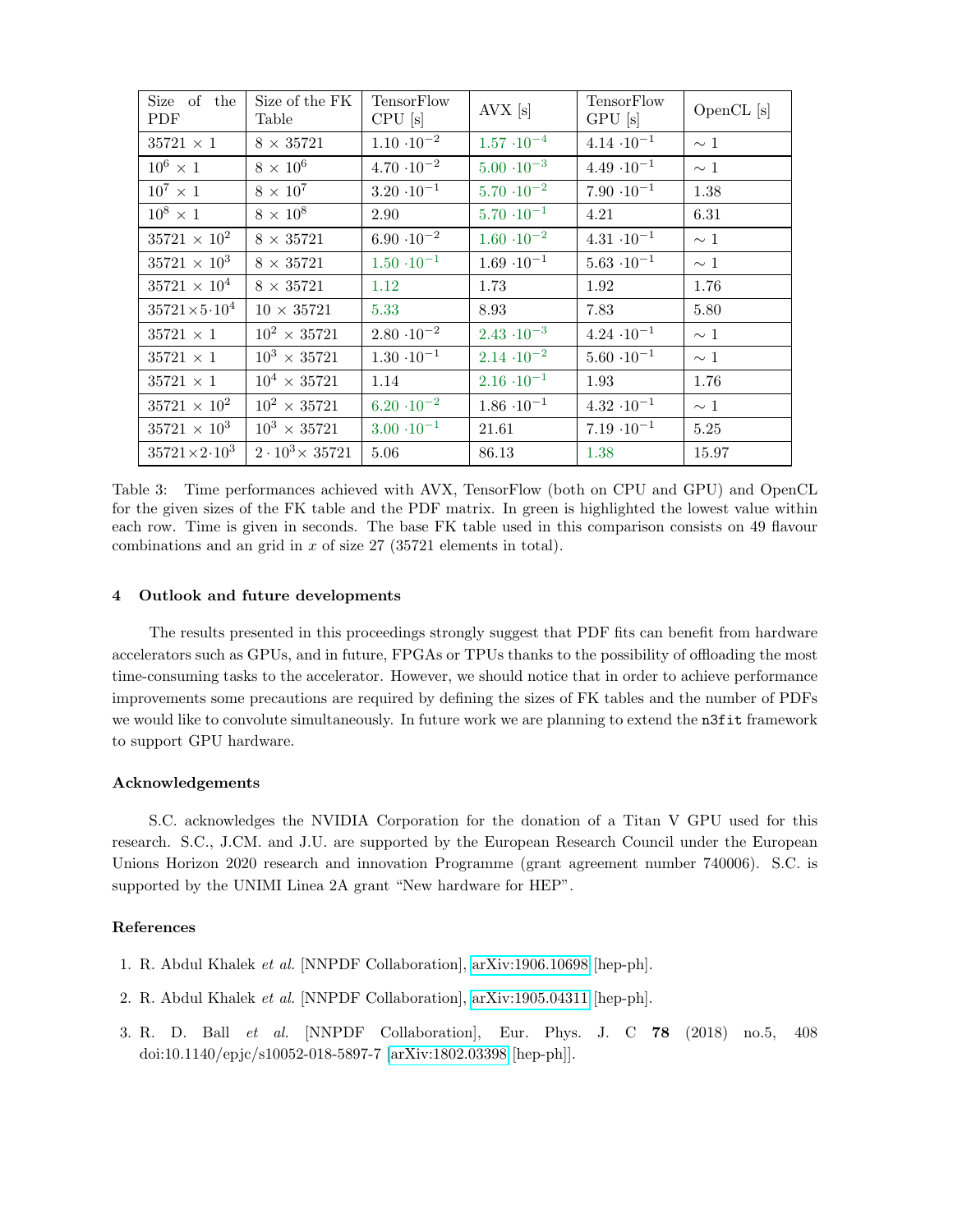| Size of the<br>PDF          | Size of the FK<br>Table     | TensorFlow<br>$CPU$ [s] | AVX [s]              | TensorFlow<br>GPU[s] | OpenCL [s] |
|-----------------------------|-----------------------------|-------------------------|----------------------|----------------------|------------|
| $35721 \times 1$            | $8 \times 35721$            | $1.10 \cdot 10^{-2}$    | $1.57 \cdot 10^{-4}$ | $4.14 \cdot 10^{-1}$ | $\sim 1$   |
| $10^6 \times 1$             | $8 \times 10^6$             | $4.70 \cdot 10^{-2}$    | $5.00 \cdot 10^{-3}$ | $4.49 \cdot 10^{-1}$ | $\sim 1$   |
| $10^7\times 1$              | $8 \times 10^7$             | $3.20 \cdot 10^{-1}$    | $5.70 \cdot 10^{-2}$ | $7.90 \cdot 10^{-1}$ | 1.38       |
| $10^8 \times 1$             | $8 \times 10^8$             | 2.90                    | $5.70 \cdot 10^{-1}$ | 4.21                 | 6.31       |
| $35721 \times 10^{2}$       | $8\,\times\,35721$          | $6.90 \cdot 10^{-2}$    | $1.60 \cdot 10^{-2}$ | $4.31 \cdot 10^{-1}$ | $\sim 1$   |
| $35721 \times 10^3$         | $8 \times 35721$            | $1.50 \cdot 10^{-1}$    | $1.69 \cdot 10^{-1}$ | $5.63 \cdot 10^{-1}$ | $\sim 1$   |
| $35721 \times 10^{4}$       | $8 \times 35721$            | 1.12                    | 1.73                 | 1.92                 | 1.76       |
| $35721 \times 5 \cdot 10^4$ | $10 \times 35721$           | 5.33                    | 8.93                 | 7.83                 | 5.80       |
| $35721 \times 1$            | $10^2 \times 35721$         | $2.80 \cdot 10^{-2}$    | $2.43 \cdot 10^{-3}$ | $4.24 \cdot 10^{-1}$ | $\sim 1$   |
| $35721 \times 1$            | $10^3 \times 35721$         | $1.30 \cdot 10^{-1}$    | $2.14 \cdot 10^{-2}$ | $5.60 \cdot 10^{-1}$ | $\sim 1$   |
| $35721 \times 1$            | $10^4 \times 35721$         | 1.14                    | $2.16 \cdot 10^{-1}$ | 1.93                 | 1.76       |
| $35721 \times 10^{2}$       | $10^2 \times 35721$         | $6.20 \cdot 10^{-2}$    | $1.86 \cdot 10^{-1}$ | $4.32 \cdot 10^{-1}$ | $\sim$ 1   |
| $35721 \times 10^3$         | $10^3 \times 35721$         | $3.00 \cdot 10^{-1}$    | 21.61                | $7.19 \cdot 10^{-1}$ | 5.25       |
| $35721 \times 2 \cdot 10^3$ | $2 \cdot 10^3 \times 35721$ | 5.06                    | 86.13                | 1.38                 | 15.97      |

<span id="page-4-2"></span>Table 3: Time performances achieved with AVX, TensorFlow (both on CPU and GPU) and OpenCL for the given sizes of the FK table and the PDF matrix. In green is highlighted the lowest value within each row. Time is given in seconds. The base FK table used in this comparison consists on 49 flavour combinations and an grid in  $x$  of size 27 (35721 elements in total).

# 4 Outlook and future developments

The results presented in this proceedings strongly suggest that PDF fits can benefit from hardware accelerators such as GPUs, and in future, FPGAs or TPUs thanks to the possibility of offloading the most time-consuming tasks to the accelerator. However, we should notice that in order to achieve performance improvements some precautions are required by defining the sizes of FK tables and the number of PDFs we would like to convolute simultaneously. In future work we are planning to extend the n3fit framework to support GPU hardware.

#### Acknowledgements

S.C. acknowledges the NVIDIA Corporation for the donation of a Titan V GPU used for this research. S.C., J.CM. and J.U. are supported by the European Research Council under the European Unions Horizon 2020 research and innovation Programme (grant agreement number 740006). S.C. is supported by the UNIMI Linea 2A grant "New hardware for HEP".

# References

- <span id="page-4-0"></span>1. R. Abdul Khalek et al. [NNPDF Collaboration], [arXiv:1906.10698](http://arxiv.org/abs/1906.10698) [hep-ph].
- 2. R. Abdul Khalek et al. [NNPDF Collaboration], [arXiv:1905.04311](http://arxiv.org/abs/1905.04311) [hep-ph].
- <span id="page-4-1"></span>3. R. D. Ball et al. [NNPDF Collaboration], Eur. Phys. J. C 78 (2018) no.5, 408 doi:10.1140/epjc/s10052-018-5897-7 [\[arXiv:1802.03398](http://arxiv.org/abs/1802.03398) [hep-ph]].